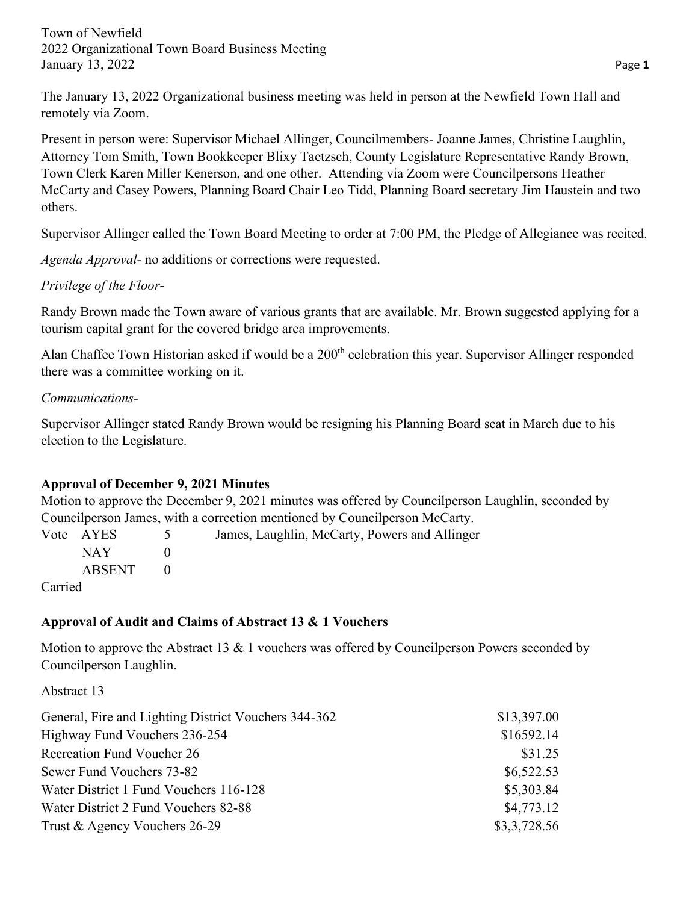The January 13, 2022 Organizational business meeting was held in person at the Newfield Town Hall and remotely via Zoom.

Present in person were: Supervisor Michael Allinger, Councilmembers- Joanne James, Christine Laughlin, Attorney Tom Smith, Town Bookkeeper Blixy Taetzsch, County Legislature Representative Randy Brown, Town Clerk Karen Miller Kenerson, and one other. Attending via Zoom were Councilpersons Heather McCarty and Casey Powers, Planning Board Chair Leo Tidd, Planning Board secretary Jim Haustein and two others.

Supervisor Allinger called the Town Board Meeting to order at 7:00 PM, the Pledge of Allegiance was recited.

*Agenda Approval-* no additions or corrections were requested.

*Privilege of the Floor*-

Randy Brown made the Town aware of various grants that are available. Mr. Brown suggested applying for a tourism capital grant for the covered bridge area improvements.

Alan Chaffee Town Historian asked if would be a 200<sup>th</sup> celebration this year. Supervisor Allinger responded there was a committee working on it.

### *Communications-*

Supervisor Allinger stated Randy Brown would be resigning his Planning Board seat in March due to his election to the Legislature.

# **Approval of December 9, 2021 Minutes**

Motion to approve the December 9, 2021 minutes was offered by Councilperson Laughlin, seconded by Councilperson James, with a correction mentioned by Councilperson McCarty.

|         | Vote AYES | 5 <sup>5</sup> | James, Laughlin, McCarty, Powers and Allinger |
|---------|-----------|----------------|-----------------------------------------------|
|         | NAY 1     |                |                                               |
|         | ABSENT    |                |                                               |
| Carried |           |                |                                               |

# **Approval of Audit and Claims of Abstract 13 & 1 Vouchers**

Motion to approve the Abstract 13  $&$  1 vouchers was offered by Councilperson Powers seconded by Councilperson Laughlin.

Abstract 13

| General, Fire and Lighting District Vouchers 344-362 | \$13,397.00  |
|------------------------------------------------------|--------------|
| Highway Fund Vouchers 236-254                        | \$16592.14   |
| <b>Recreation Fund Voucher 26</b>                    | \$31.25      |
| Sewer Fund Vouchers 73-82                            | \$6,522.53   |
| Water District 1 Fund Vouchers 116-128               | \$5,303.84   |
| Water District 2 Fund Vouchers 82-88                 | \$4,773.12   |
| Trust & Agency Vouchers 26-29                        | \$3,3,728.56 |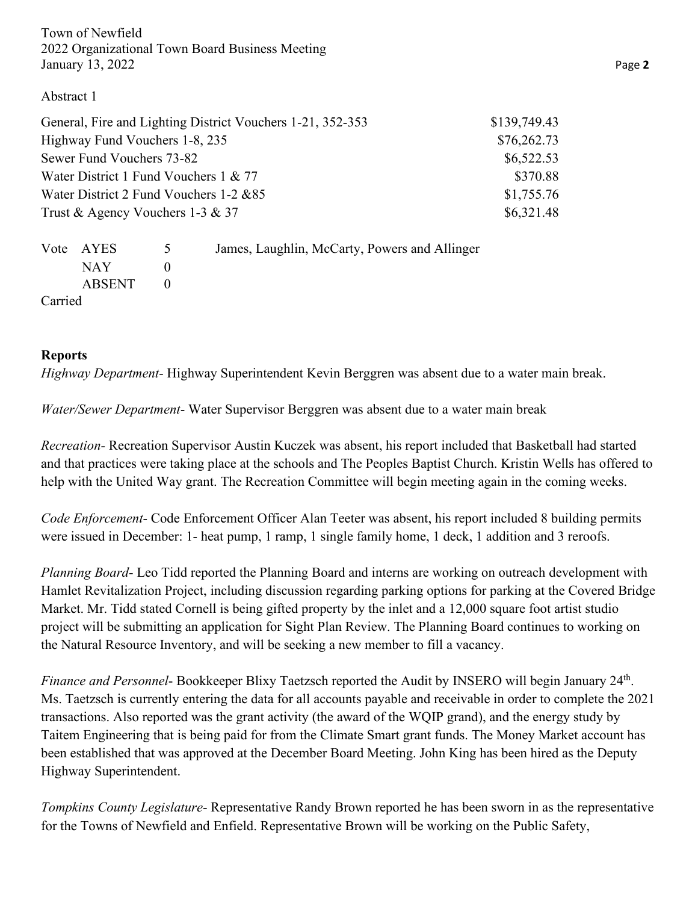#### Abstract 1

| General, Fire and Lighting District Vouchers 1-21, 352-353 | \$139,749.43 |
|------------------------------------------------------------|--------------|
| Highway Fund Vouchers 1-8, 235                             | \$76,262.73  |
| Sewer Fund Vouchers 73-82                                  | \$6,522.53   |
| Water District 1 Fund Vouchers 1 & 77                      | \$370.88     |
| Water District 2 Fund Vouchers 1-2 & 85                    | \$1,755.76   |
| Trust & Agency Vouchers 1-3 & 37                           | \$6,321.48   |

|         | Vote AYES | $\overline{5}$ | James, Laughlin, McCarty, Powers and Allinger |
|---------|-----------|----------------|-----------------------------------------------|
|         | NAY 1     |                |                                               |
|         | ABSENT    |                |                                               |
| Carried |           |                |                                               |

#### **Reports**

*Highway Department-* Highway Superintendent Kevin Berggren was absent due to a water main break.

*Water/Sewer Department*- Water Supervisor Berggren was absent due to a water main break

*Recreation-* Recreation Supervisor Austin Kuczek was absent, his report included that Basketball had started and that practices were taking place at the schools and The Peoples Baptist Church. Kristin Wells has offered to help with the United Way grant. The Recreation Committee will begin meeting again in the coming weeks.

*Code Enforcement*- Code Enforcement Officer Alan Teeter was absent, his report included 8 building permits were issued in December: 1- heat pump, 1 ramp, 1 single family home, 1 deck, 1 addition and 3 reroofs.

*Planning Board*- Leo Tidd reported the Planning Board and interns are working on outreach development with Hamlet Revitalization Project, including discussion regarding parking options for parking at the Covered Bridge Market. Mr. Tidd stated Cornell is being gifted property by the inlet and a 12,000 square foot artist studio project will be submitting an application for Sight Plan Review. The Planning Board continues to working on the Natural Resource Inventory, and will be seeking a new member to fill a vacancy.

*Finance and Personnel*- Bookkeeper Blixy Taetzsch reported the Audit by INSERO will begin January 24<sup>th</sup>. Ms. Taetzsch is currently entering the data for all accounts payable and receivable in order to complete the 2021 transactions. Also reported was the grant activity (the award of the WQIP grand), and the energy study by Taitem Engineering that is being paid for from the Climate Smart grant funds. The Money Market account has been established that was approved at the December Board Meeting. John King has been hired as the Deputy Highway Superintendent.

*Tompkins County Legislature*- Representative Randy Brown reported he has been sworn in as the representative for the Towns of Newfield and Enfield. Representative Brown will be working on the Public Safety,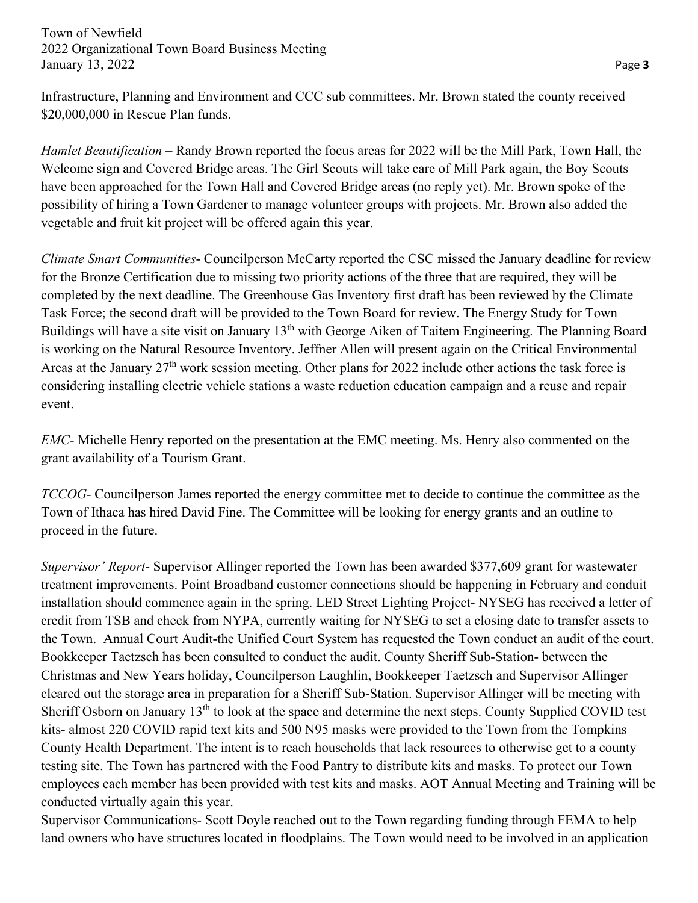Infrastructure, Planning and Environment and CCC sub committees. Mr. Brown stated the county received \$20,000,000 in Rescue Plan funds.

*Hamlet Beautification* – Randy Brown reported the focus areas for 2022 will be the Mill Park, Town Hall, the Welcome sign and Covered Bridge areas. The Girl Scouts will take care of Mill Park again, the Boy Scouts have been approached for the Town Hall and Covered Bridge areas (no reply yet). Mr. Brown spoke of the possibility of hiring a Town Gardener to manage volunteer groups with projects. Mr. Brown also added the vegetable and fruit kit project will be offered again this year.

*Climate Smart Communities*- Councilperson McCarty reported the CSC missed the January deadline for review for the Bronze Certification due to missing two priority actions of the three that are required, they will be completed by the next deadline. The Greenhouse Gas Inventory first draft has been reviewed by the Climate Task Force; the second draft will be provided to the Town Board for review. The Energy Study for Town Buildings will have a site visit on January 13<sup>th</sup> with George Aiken of Taitem Engineering. The Planning Board is working on the Natural Resource Inventory. Jeffner Allen will present again on the Critical Environmental Areas at the January 27<sup>th</sup> work session meeting. Other plans for 2022 include other actions the task force is considering installing electric vehicle stations a waste reduction education campaign and a reuse and repair event.

*EMC*- Michelle Henry reported on the presentation at the EMC meeting. Ms. Henry also commented on the grant availability of a Tourism Grant.

*TCCOG*- Councilperson James reported the energy committee met to decide to continue the committee as the Town of Ithaca has hired David Fine. The Committee will be looking for energy grants and an outline to proceed in the future.

*Supervisor' Report*- Supervisor Allinger reported the Town has been awarded \$377,609 grant for wastewater treatment improvements. Point Broadband customer connections should be happening in February and conduit installation should commence again in the spring. LED Street Lighting Project- NYSEG has received a letter of credit from TSB and check from NYPA, currently waiting for NYSEG to set a closing date to transfer assets to the Town. Annual Court Audit-the Unified Court System has requested the Town conduct an audit of the court. Bookkeeper Taetzsch has been consulted to conduct the audit. County Sheriff Sub-Station- between the Christmas and New Years holiday, Councilperson Laughlin, Bookkeeper Taetzsch and Supervisor Allinger cleared out the storage area in preparation for a Sheriff Sub-Station. Supervisor Allinger will be meeting with Sheriff Osborn on January 13th to look at the space and determine the next steps. County Supplied COVID test kits- almost 220 COVID rapid text kits and 500 N95 masks were provided to the Town from the Tompkins County Health Department. The intent is to reach households that lack resources to otherwise get to a county testing site. The Town has partnered with the Food Pantry to distribute kits and masks. To protect our Town employees each member has been provided with test kits and masks. AOT Annual Meeting and Training will be conducted virtually again this year.

Supervisor Communications- Scott Doyle reached out to the Town regarding funding through FEMA to help land owners who have structures located in floodplains. The Town would need to be involved in an application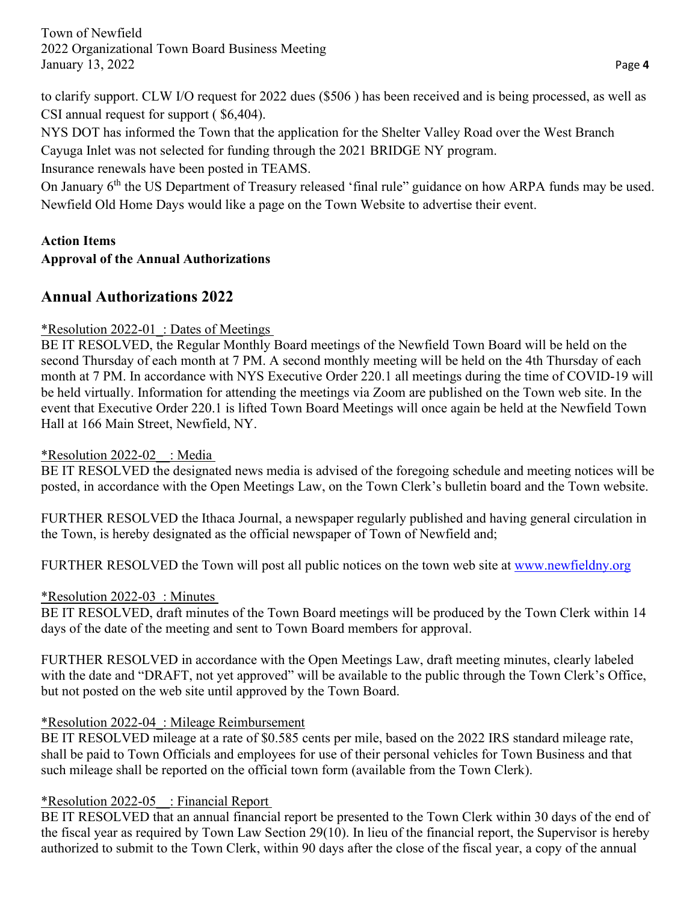to clarify support. CLW I/O request for 2022 dues (\$506 ) has been received and is being processed, as well as CSI annual request for support ( \$6,404).

NYS DOT has informed the Town that the application for the Shelter Valley Road over the West Branch Cayuga Inlet was not selected for funding through the 2021 BRIDGE NY program.

Insurance renewals have been posted in TEAMS.

On January 6<sup>th</sup> the US Department of Treasury released 'final rule" guidance on how ARPA funds may be used. Newfield Old Home Days would like a page on the Town Website to advertise their event.

## **Action Items Approval of the Annual Authorizations**

# **Annual Authorizations 2022**

# \*Resolution 2022-01\_: Dates of Meetings

BE IT RESOLVED, the Regular Monthly Board meetings of the Newfield Town Board will be held on the second Thursday of each month at 7 PM. A second monthly meeting will be held on the 4th Thursday of each month at 7 PM. In accordance with NYS Executive Order 220.1 all meetings during the time of COVID-19 will be held virtually. Information for attending the meetings via Zoom are published on the Town web site. In the event that Executive Order 220.1 is lifted Town Board Meetings will once again be held at the Newfield Town Hall at 166 Main Street, Newfield, NY.

\*Resolution 2022-02\_\_: Media

BE IT RESOLVED the designated news media is advised of the foregoing schedule and meeting notices will be posted, in accordance with the Open Meetings Law, on the Town Clerk's bulletin board and the Town website.

FURTHER RESOLVED the Ithaca Journal, a newspaper regularly published and having general circulation in the Town, is hereby designated as the official newspaper of Town of Newfield and;

FURTHER RESOLVED the Town will post all public notices on the town web site at [www.newfieldny.org](http://www.newfieldny.org/)

#### \*Resolution 2022-03\_: Minutes

BE IT RESOLVED, draft minutes of the Town Board meetings will be produced by the Town Clerk within 14 days of the date of the meeting and sent to Town Board members for approval.

FURTHER RESOLVED in accordance with the Open Meetings Law, draft meeting minutes, clearly labeled with the date and "DRAFT, not yet approved" will be available to the public through the Town Clerk's Office, but not posted on the web site until approved by the Town Board.

# \*Resolution 2022-04\_: Mileage Reimbursement

BE IT RESOLVED mileage at a rate of \$0.585 cents per mile, based on the 2022 IRS standard mileage rate, shall be paid to Town Officials and employees for use of their personal vehicles for Town Business and that such mileage shall be reported on the official town form (available from the Town Clerk).

# \*Resolution 2022-05\_\_: Financial Report

BE IT RESOLVED that an annual financial report be presented to the Town Clerk within 30 days of the end of the fiscal year as required by Town Law Section 29(10). In lieu of the financial report, the Supervisor is hereby authorized to submit to the Town Clerk, within 90 days after the close of the fiscal year, a copy of the annual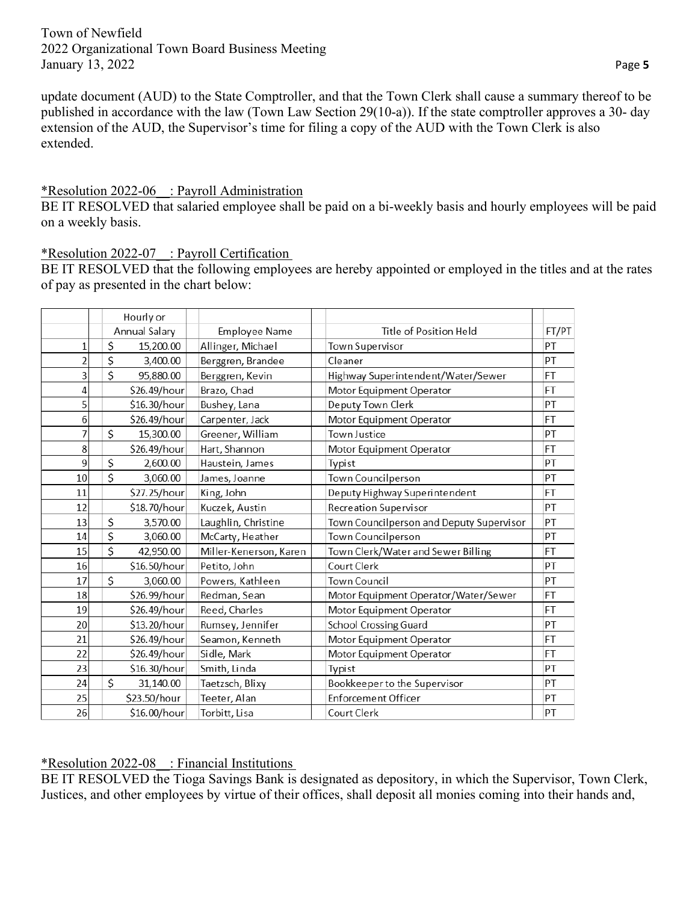update document (AUD) to the State Comptroller, and that the Town Clerk shall cause a summary thereof to be published in accordance with the law (Town Law Section 29(10-a)). If the state comptroller approves a 30- day extension of the AUD, the Supervisor's time for filing a copy of the AUD with the Town Clerk is also extended.

#### \*Resolution 2022-06\_\_: Payroll Administration

BE IT RESOLVED that salaried employee shall be paid on a bi-weekly basis and hourly employees will be paid on a weekly basis.

\*Resolution 2022-07\_\_: Payroll Certification

BE IT RESOLVED that the following employees are hereby appointed or employed in the titles and at the rates of pay as presented in the chart below:

|                | Hourly or       |                        |                                          |           |
|----------------|-----------------|------------------------|------------------------------------------|-----------|
|                | Annual Salary   | <b>Employee Name</b>   | Title of Position Held                   | FT/PT     |
| 1              | \$<br>15,200.00 | Allinger, Michael      | Town Supervisor                          | PT        |
| $\overline{2}$ | \$<br>3,400.00  | Berggren, Brandee      | Cleaner                                  | PT        |
| 3              | \$<br>95,880.00 | Berggren, Kevin        | Highway Superintendent/Water/Sewer       | <b>FT</b> |
| 4              | \$26.49/hour    | Brazo, Chad            | Motor Equipment Operator                 | FT        |
| 5              | \$16.30/hour    | Bushey, Lana           | Deputy Town Clerk                        | PT        |
| $\sqrt{6}$     | \$26.49/hour    | Carpenter, Jack        | Motor Equipment Operator                 | FT        |
| 7              | \$<br>15,300.00 | Greener, William       | Town Justice                             | PT        |
| 8              | \$26.49/hour    | Hart, Shannon          | Motor Equipment Operator                 | <b>FT</b> |
| 9              | \$<br>2,600.00  | Haustein, James        | Typist                                   | PT        |
| 10             | \$<br>3,060.00  | James, Joanne          | Town Councilperson                       | PT        |
| 11             | \$27.25/hour    | King, John             | Deputy Highway Superintendent            | FT        |
| 12             | \$18.70/hour    | Kuczek, Austin         | Recreation Supervisor                    | PT        |
| 13             | \$<br>3,570.00  | Laughlin, Christine    | Town Councilperson and Deputy Supervisor | PT        |
| 14             | \$<br>3,060.00  | McCarty, Heather       | Town Councilperson                       | PT        |
| 15             | \$<br>42,950.00 | Miller-Kenerson, Karen | Town Clerk/Water and Sewer Billing       | FT        |
| 16             | \$16.50/hour    | Petito, John           | Court Clerk                              | PT        |
| 17             | \$<br>3,060.00  | Powers, Kathleen       | Town Council                             | PT        |
| 18             | \$26.99/hour    | Redman, Sean           | Motor Equipment Operator/Water/Sewer     | FT        |
| 19             | \$26.49/hour    | Reed, Charles          | Motor Equipment Operator                 | FT        |
| 20             | \$13.20/hour    | Rumsey, Jennifer       | School Crossing Guard                    | PT        |
| 21             | \$26.49/hour    | Seamon, Kenneth        | Motor Equipment Operator                 | FT        |
| 22             | \$26.49/hour    | Sidle, Mark            | Motor Equipment Operator                 | FT        |
| 23             | \$16.30/hour    | Smith, Linda           | Typist                                   | PT        |
| 24             | \$<br>31,140.00 | Taetzsch, Blixy        | Bookkeeper to the Supervisor             | PT        |
| 25             | \$23.50/hour    | Teeter, Alan           | <b>Enforcement Officer</b>               | PT        |
| 26             | \$16.00/hour    | Torbitt, Lisa          | Court Clerk                              | PT        |

#### \*Resolution 2022-08\_\_: Financial Institutions

BE IT RESOLVED the Tioga Savings Bank is designated as depository, in which the Supervisor, Town Clerk, Justices, and other employees by virtue of their offices, shall deposit all monies coming into their hands and,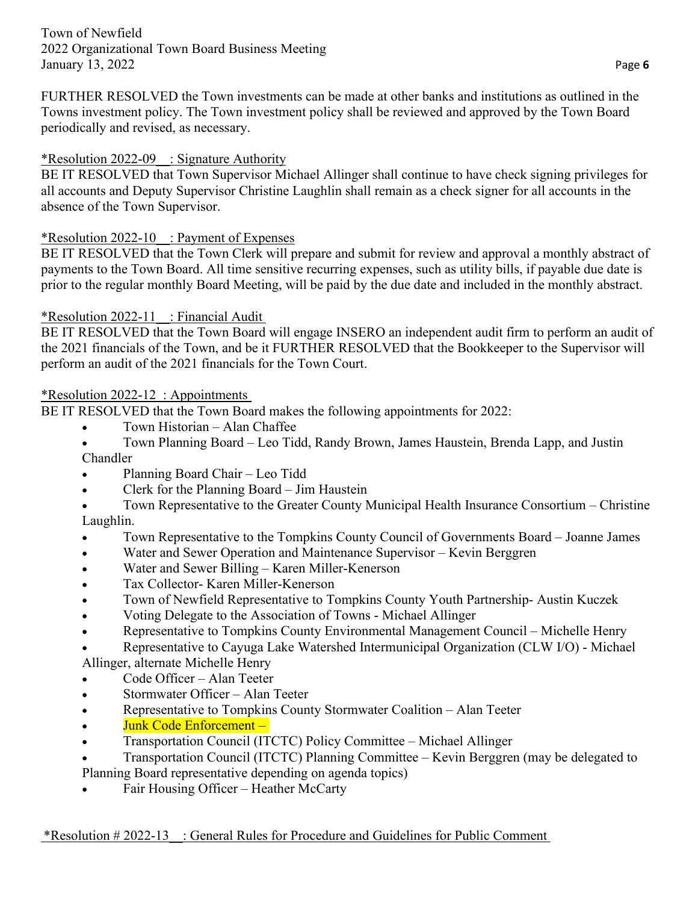FURTHER RESOLVED the Town investments can be made at other banks and institutions as outlined in the Towns investment policy. The Town investment policy shall be reviewed and approved by the Town Board periodically and revised, as necessary.

# \*Resolution 2022-09\_\_: Signature Authority

BE IT RESOLVED that Town Supervisor Michael Allinger shall continue to have check signing privileges for all accounts and Deputy Supervisor Christine Laughlin shall remain as a check signer for all accounts in the absence of the Town Supervisor.

### \*Resolution 2022-10\_\_: Payment of Expenses

BE IT RESOLVED that the Town Clerk will prepare and submit for review and approval a monthly abstract of payments to the Town Board. All time sensitive recurring expenses, such as utility bills, if payable due date is prior to the regular monthly Board Meeting, will be paid by the due date and included in the monthly abstract.

### \*Resolution 2022-11 : Financial Audit

BE IT RESOLVED that the Town Board will engage INSERO an independent audit firm to perform an audit of the 2021 financials of the Town, and be it FURTHER RESOLVED that the Bookkeeper to the Supervisor will perform an audit of the 2021 financials for the Town Court.

### \*Resolution 2022-12\_: Appointments

BE IT RESOLVED that the Town Board makes the following appointments for 2022:

- Town Historian Alan Chaffee
- Town Planning Board Leo Tidd, Randy Brown, James Haustein, Brenda Lapp, and Justin Chandler
- Planning Board Chair Leo Tidd
- Clerk for the Planning Board Jim Haustein
- Town Representative to the Greater County Municipal Health Insurance Consortium Christine Laughlin.
- Town Representative to the Tompkins County Council of Governments Board Joanne James
- Water and Sewer Operation and Maintenance Supervisor Kevin Berggren
- Water and Sewer Billing Karen Miller-Kenerson
- Tax Collector- Karen Miller-Kenerson
- Town of Newfield Representative to Tompkins County Youth Partnership-Austin Kuczek
- Voting Delegate to the Association of Towns Michael Allinger
- Representative to Tompkins County Environmental Management Council Michelle Henry
- Representative to Cayuga Lake Watershed Intermunicipal Organization (CLW I/O) Michael Allinger, alternate Michelle Henry
- Code Officer Alan Teeter
- Stormwater Officer Alan Teeter
- Representative to Tompkins County Stormwater Coalition Alan Teeter
- Junk Code Enforcement –
- Transportation Council (ITCTC) Policy Committee Michael Allinger
- Transportation Council (ITCTC) Planning Committee Kevin Berggren (may be delegated to
- Planning Board representative depending on agenda topics)
- Fair Housing Officer Heather McCarty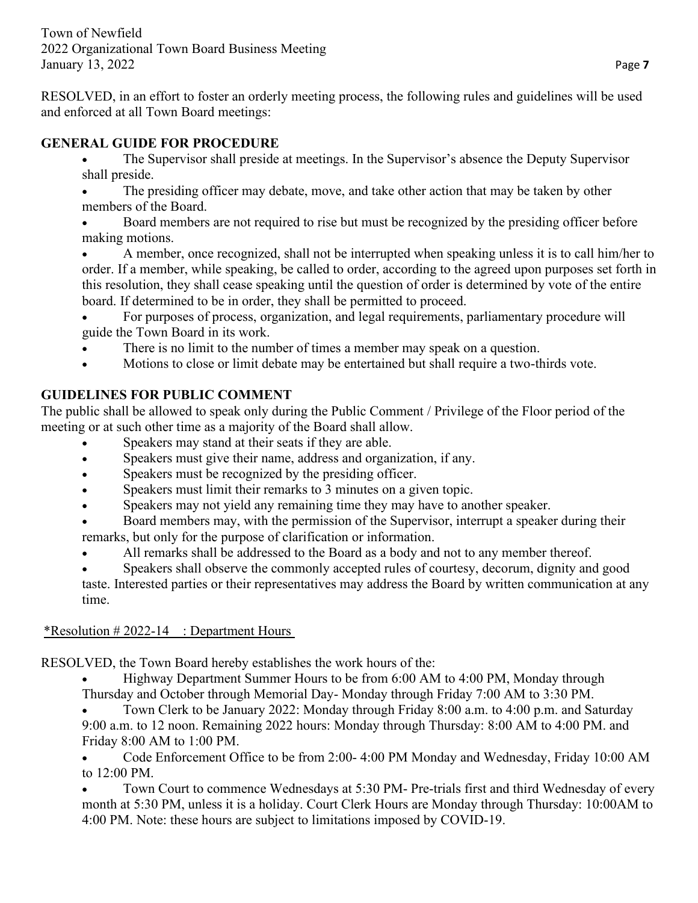RESOLVED, in an effort to foster an orderly meeting process, the following rules and guidelines will be used and enforced at all Town Board meetings:

#### **GENERAL GUIDE FOR PROCEDURE**

- The Supervisor shall preside at meetings. In the Supervisor's absence the Deputy Supervisor shall preside.
- The presiding officer may debate, move, and take other action that may be taken by other members of the Board.

• Board members are not required to rise but must be recognized by the presiding officer before making motions.

• A member, once recognized, shall not be interrupted when speaking unless it is to call him/her to order. If a member, while speaking, be called to order, according to the agreed upon purposes set forth in this resolution, they shall cease speaking until the question of order is determined by vote of the entire board. If determined to be in order, they shall be permitted to proceed.

• For purposes of process, organization, and legal requirements, parliamentary procedure will guide the Town Board in its work.

- There is no limit to the number of times a member may speak on a question.
- Motions to close or limit debate may be entertained but shall require a two-thirds vote.

# **GUIDELINES FOR PUBLIC COMMENT**

The public shall be allowed to speak only during the Public Comment / Privilege of the Floor period of the meeting or at such other time as a majority of the Board shall allow.

- Speakers may stand at their seats if they are able.
- Speakers must give their name, address and organization, if any.
- Speakers must be recognized by the presiding officer.
- Speakers must limit their remarks to 3 minutes on a given topic.
- Speakers may not yield any remaining time they may have to another speaker.
- Board members may, with the permission of the Supervisor, interrupt a speaker during their remarks, but only for the purpose of clarification or information.
- All remarks shall be addressed to the Board as a body and not to any member thereof.
- Speakers shall observe the commonly accepted rules of courtesy, decorum, dignity and good taste. Interested parties or their representatives may address the Board by written communication at any time.

#### \*Resolution  $\# 2022-14$ : Department Hours

RESOLVED, the Town Board hereby establishes the work hours of the:

• Highway Department Summer Hours to be from 6:00 AM to 4:00 PM, Monday through

Thursday and October through Memorial Day- Monday through Friday 7:00 AM to 3:30 PM.

• Town Clerk to be January 2022: Monday through Friday 8:00 a.m. to 4:00 p.m. and Saturday 9:00 a.m. to 12 noon. Remaining 2022 hours: Monday through Thursday: 8:00 AM to 4:00 PM. and Friday 8:00 AM to 1:00 PM.

• Code Enforcement Office to be from 2:00- 4:00 PM Monday and Wednesday, Friday 10:00 AM to 12:00 PM.

• Town Court to commence Wednesdays at 5:30 PM- Pre-trials first and third Wednesday of every month at 5:30 PM, unless it is a holiday. Court Clerk Hours are Monday through Thursday: 10:00AM to 4:00 PM. Note: these hours are subject to limitations imposed by COVID-19.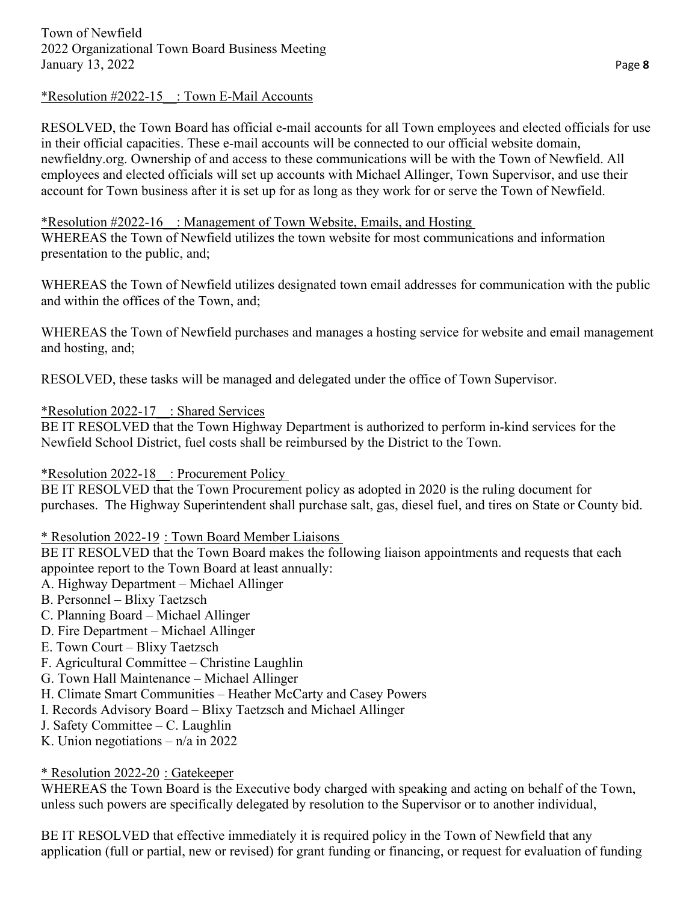#### \*Resolution #2022-15\_\_: Town E-Mail Accounts

RESOLVED, the Town Board has official e-mail accounts for all Town employees and elected officials for use in their official capacities. These e-mail accounts will be connected to our official website domain, newfieldny.org. Ownership of and access to these communications will be with the Town of Newfield. All employees and elected officials will set up accounts with Michael Allinger, Town Supervisor, and use their account for Town business after it is set up for as long as they work for or serve the Town of Newfield.

#### \*Resolution #2022-16\_\_: Management of Town Website, Emails, and Hosting

WHEREAS the Town of Newfield utilizes the town website for most communications and information presentation to the public, and;

WHEREAS the Town of Newfield utilizes designated town email addresses for communication with the public and within the offices of the Town, and;

WHEREAS the Town of Newfield purchases and manages a hosting service for website and email management and hosting, and;

RESOLVED, these tasks will be managed and delegated under the office of Town Supervisor.

\*Resolution 2022-17\_\_: Shared Services

BE IT RESOLVED that the Town Highway Department is authorized to perform in-kind services for the Newfield School District, fuel costs shall be reimbursed by the District to the Town.

# \*Resolution 2022-18\_\_: Procurement Policy

BE IT RESOLVED that the Town Procurement policy as adopted in 2020 is the ruling document for purchases. The Highway Superintendent shall purchase salt, gas, diesel fuel, and tires on State or County bid.

# \* Resolution 2022-19 : Town Board Member Liaisons

BE IT RESOLVED that the Town Board makes the following liaison appointments and requests that each appointee report to the Town Board at least annually:

- A. Highway Department Michael Allinger
- B. Personnel Blixy Taetzsch
- C. Planning Board Michael Allinger
- D. Fire Department Michael Allinger
- E. Town Court Blixy Taetzsch
- F. Agricultural Committee Christine Laughlin
- G. Town Hall Maintenance Michael Allinger
- H. Climate Smart Communities Heather McCarty and Casey Powers
- I. Records Advisory Board Blixy Taetzsch and Michael Allinger
- J. Safety Committee C. Laughlin
- K. Union negotiations  $n/a$  in 2022

# \* Resolution 2022-20 : Gatekeeper

WHEREAS the Town Board is the Executive body charged with speaking and acting on behalf of the Town, unless such powers are specifically delegated by resolution to the Supervisor or to another individual,

BE IT RESOLVED that effective immediately it is required policy in the Town of Newfield that any application (full or partial, new or revised) for grant funding or financing, or request for evaluation of funding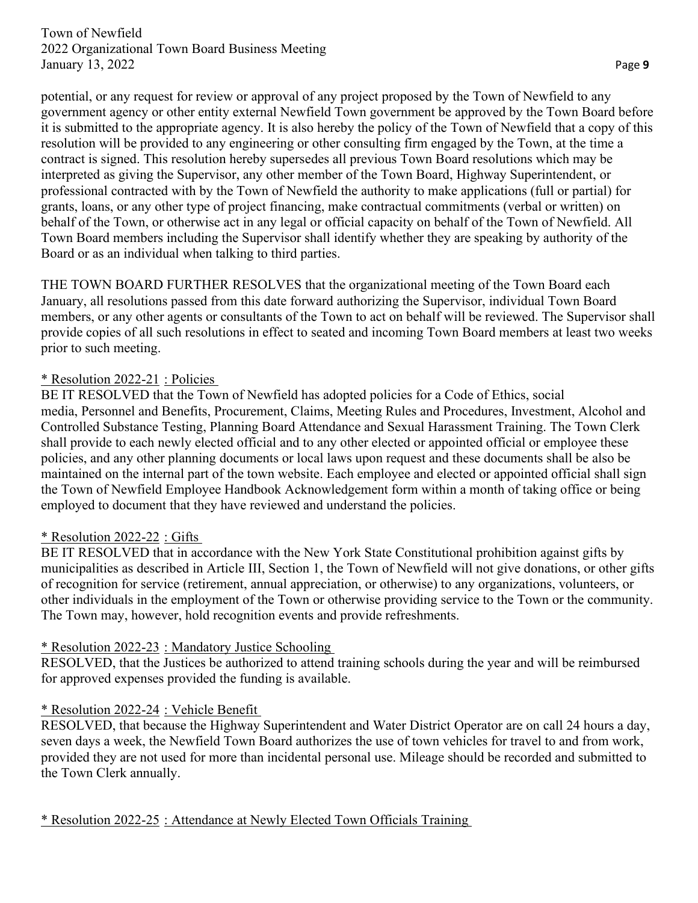potential, or any request for review or approval of any project proposed by the Town of Newfield to any government agency or other entity external Newfield Town government be approved by the Town Board before it is submitted to the appropriate agency. It is also hereby the policy of the Town of Newfield that a copy of this resolution will be provided to any engineering or other consulting firm engaged by the Town, at the time a contract is signed. This resolution hereby supersedes all previous Town Board resolutions which may be interpreted as giving the Supervisor, any other member of the Town Board, Highway Superintendent, or professional contracted with by the Town of Newfield the authority to make applications (full or partial) for grants, loans, or any other type of project financing, make contractual commitments (verbal or written) on behalf of the Town, or otherwise act in any legal or official capacity on behalf of the Town of Newfield. All Town Board members including the Supervisor shall identify whether they are speaking by authority of the Board or as an individual when talking to third parties.

THE TOWN BOARD FURTHER RESOLVES that the organizational meeting of the Town Board each January, all resolutions passed from this date forward authorizing the Supervisor, individual Town Board members, or any other agents or consultants of the Town to act on behalf will be reviewed. The Supervisor shall provide copies of all such resolutions in effect to seated and incoming Town Board members at least two weeks prior to such meeting.

### \* Resolution 2022-21 : Policies

BE IT RESOLVED that the Town of Newfield has adopted policies for a Code of Ethics, social media, Personnel and Benefits, Procurement, Claims, Meeting Rules and Procedures, Investment, Alcohol and Controlled Substance Testing, Planning Board Attendance and Sexual Harassment Training. The Town Clerk shall provide to each newly elected official and to any other elected or appointed official or employee these policies, and any other planning documents or local laws upon request and these documents shall be also be maintained on the internal part of the town website. Each employee and elected or appointed official shall sign the Town of Newfield Employee Handbook Acknowledgement form within a month of taking office or being employed to document that they have reviewed and understand the policies.

# \* Resolution 2022-22 : Gifts

BE IT RESOLVED that in accordance with the New York State Constitutional prohibition against gifts by municipalities as described in Article III, Section 1, the Town of Newfield will not give donations, or other gifts of recognition for service (retirement, annual appreciation, or otherwise) to any organizations, volunteers, or other individuals in the employment of the Town or otherwise providing service to the Town or the community. The Town may, however, hold recognition events and provide refreshments.

#### \* Resolution 2022-23 : Mandatory Justice Schooling

RESOLVED, that the Justices be authorized to attend training schools during the year and will be reimbursed for approved expenses provided the funding is available.

#### \* Resolution 2022-24 : Vehicle Benefit

RESOLVED, that because the Highway Superintendent and Water District Operator are on call 24 hours a day, seven days a week, the Newfield Town Board authorizes the use of town vehicles for travel to and from work, provided they are not used for more than incidental personal use. Mileage should be recorded and submitted to the Town Clerk annually.

\* Resolution 2022-25 : Attendance at Newly Elected Town Officials Training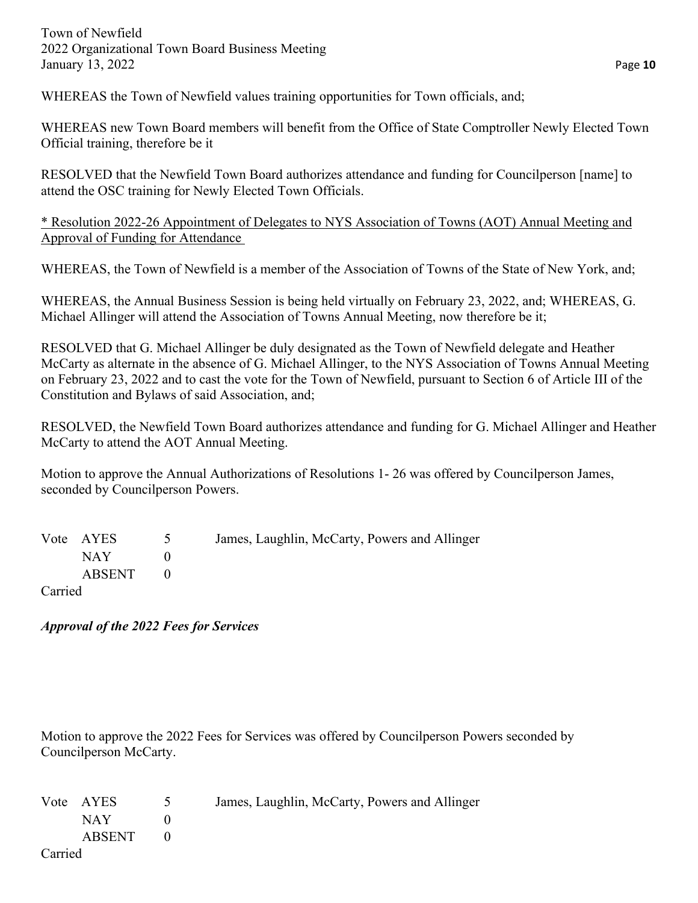WHEREAS the Town of Newfield values training opportunities for Town officials, and;

WHEREAS new Town Board members will benefit from the Office of State Comptroller Newly Elected Town Official training, therefore be it

RESOLVED that the Newfield Town Board authorizes attendance and funding for Councilperson [name] to attend the OSC training for Newly Elected Town Officials.

\* Resolution 2022-26 Appointment of Delegates to NYS Association of Towns (AOT) Annual Meeting and Approval of Funding for Attendance

WHEREAS, the Town of Newfield is a member of the Association of Towns of the State of New York, and;

WHEREAS, the Annual Business Session is being held virtually on February 23, 2022, and; WHEREAS, G. Michael Allinger will attend the Association of Towns Annual Meeting, now therefore be it;

RESOLVED that G. Michael Allinger be duly designated as the Town of Newfield delegate and Heather McCarty as alternate in the absence of G. Michael Allinger, to the NYS Association of Towns Annual Meeting on February 23, 2022 and to cast the vote for the Town of Newfield, pursuant to Section 6 of Article III of the Constitution and Bylaws of said Association, and;

RESOLVED, the Newfield Town Board authorizes attendance and funding for G. Michael Allinger and Heather McCarty to attend the AOT Annual Meeting.

Motion to approve the Annual Authorizations of Resolutions 1- 26 was offered by Councilperson James, seconded by Councilperson Powers.

|                           | Vote AYES          | $\sim$ 5 | James, Laughlin, McCarty, Powers and Allinger |
|---------------------------|--------------------|----------|-----------------------------------------------|
|                           | NAY NATURAL SEPERT |          |                                               |
|                           | ABSENT             |          |                                               |
| $C_{\alpha \text{triad}}$ |                    |          |                                               |

Carried

*Approval of the 2022 Fees for Services*

Motion to approve the 2022 Fees for Services was offered by Councilperson Powers seconded by Councilperson McCarty.

|         | Vote AYES | $\sim$ 5 | James, Laughlin, McCarty, Powers and Allinger |
|---------|-----------|----------|-----------------------------------------------|
|         | NAY 1     |          |                                               |
|         | ABSENT    |          |                                               |
| Carried |           |          |                                               |